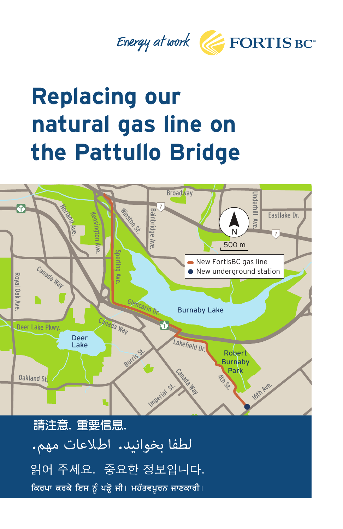



## **Replacing our natural gas line on the Pattullo Bridge**



請注意. 重要信息. لطفا بخوانيد. اطلاعات مهم. 읽어 주세요. 중요한 정보입니다. ਕਿਰਪਾ ਕਰਕੇ ਇਸ ਨੂੰ ਪੜ੍ਹੋ ਜੀ। ਮਹੱਤਵਪੂਰਨ ਜਾਣਕਾਰੀ।